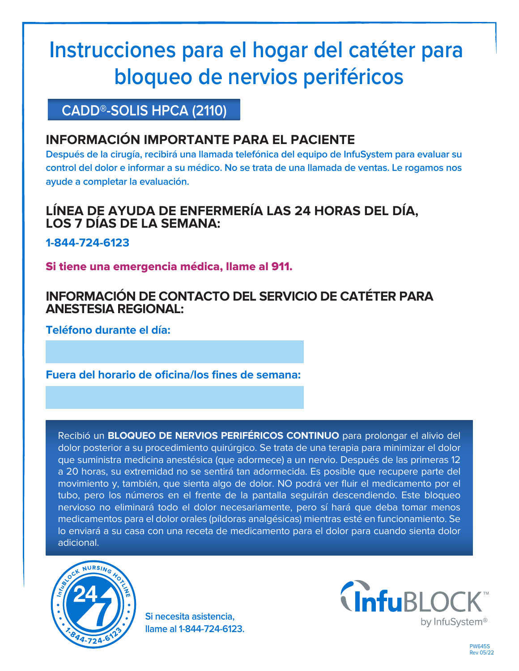# **Instrucciones para el hogar del catéter para bloqueo de nervios periféricos**

# **CADD®-SOLIS HPCA (2110)**

## **INFORMACIÓN IMPORTANTE PARA EL PACIENTE**

**Después de la cirugía, recibirá una llamada telefónica del equipo de InfuSystem para evaluar su control del dolor e informar a su médico. No se trata de una llamada de ventas. Le rogamos nos ayude a completar la evaluación.**

## **LÍNEA DE AYUDA DE ENFERMERÍA LAS 24 HORAS DEL DÍA, LOS 7 DÍAS DE LA SEMANA:**

**1-844-724-6123**

Si tiene una emergencia médica, llame al 911.

## **INFORMACIÓN DE CONTACTO DEL SERVICIO DE CATÉTER PARA ANESTESIA REGIONAL:**

**Teléfono durante el día:**

**Fuera del horario de oficina/los fines de semana:**

Recibió un **BLOQUEO DE NERVIOS PERIFÉRICOS CONTINUO** para prolongar el alivio del dolor posterior a su procedimiento quirúrgico. Se trata de una terapia para minimizar el dolor que suministra medicina anestésica (que adormece) a un nervio. Después de las primeras 12 a 20 horas, su extremidad no se sentirá tan adormecida. Es posible que recupere parte del movimiento y, también, que sienta algo de dolor. NO podrá ver fluir el medicamento por el tubo, pero los números en el frente de la pantalla seguirán descendiendo. Este bloqueo nervioso no eliminará todo el dolor necesariamente, pero sí hará que deba tomar menos medicamentos para el dolor orales (píldoras analgésicas) mientras esté en funcionamiento. Se lo enviará a su casa con una receta de medicamento para el dolor para cuando sienta dolor adicional.



**Si necesita asistencia, llame al 1-844-724-6123.**

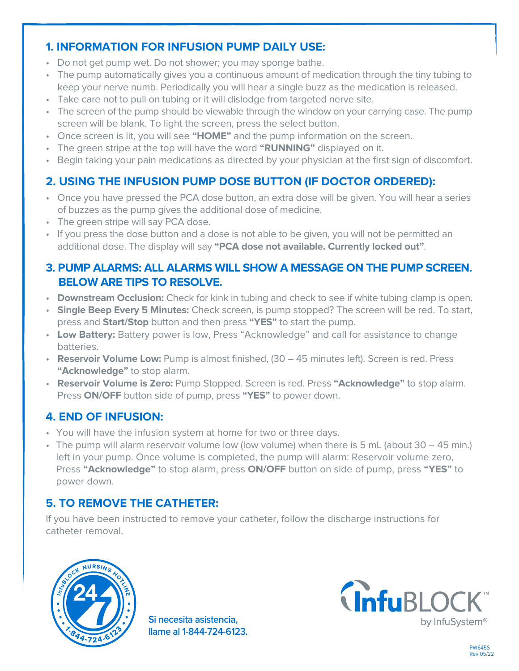## **1. INFORMATION FOR INFUSION PUMP DAILY USE:**

- Do not get pump wet. Do not shower; you may sponge bathe.
- The pump automatically gives you a continuous amount of medication through the tiny tubing to keep your nerve numb. Periodically you will hear a single buzz as the medication is released.
- Take care not to pull on tubing or it will dislodge from targeted nerve site.
- The screen of the pump should be viewable through the window on your carrying case. The pump screen will be blank. To light the screen, press the select button.
- Once screen is lit, you will see **"HOME"** and the pump information on the screen.
- The green stripe at the top will have the word **"RUNNING"** displayed on it.
- Begin taking your pain medications as directed by your physician at the first sign of discomfort.

## **2. USING THE INFUSION PUMP DOSE BUTTON (IF DOCTOR ORDERED):**

- Once you have pressed the PCA dose button, an extra dose will be given. You will hear a series of buzzes as the pump gives the additional dose of medicine.
- The green stripe will say PCA dose.
- If you press the dose button and a dose is not able to be given, you will not be permitted an additional dose. The display will say **"PCA dose not available. Currently locked out"**.

#### **3. PUMP ALARMS: ALL ALARMS WILL SHOW A MESSAGE ON THE PUMP SCREEN. BELOW ARE TIPS TO RESOLVE.**

- **Downstream Occlusion:** Check for kink in tubing and check to see if white tubing clamp is open.
- **Single Beep Every 5 Minutes:** Check screen, is pump stopped? The screen will be red. To start, press and **Start/Stop** button and then press **"YES"** to start the pump.
- **Low Battery:** Battery power is low, Press "Acknowledge" and call for assistance to change batteries.
- **Reservoir Volume Low:** Pump is almost finished, (30 45 minutes left). Screen is red. Press **"Acknowledge"** to stop alarm.
- **Reservoir Volume is Zero:** Pump Stopped. Screen is red. Press **"Acknowledge"** to stop alarm. Press **ON/OFF** button side of pump, press **"YES"** to power down.

### **4. END OF INFUSION:**

- You will have the infusion system at home for two or three days.
- The pump will alarm reservoir volume low (low volume) when there is 5 mL (about 30 45 min.) left in your pump. Once volume is completed, the pump will alarm: Reservoir volume zero, Press **"Acknowledge"** to stop alarm, press **ON/OFF** button on side of pump, press **"YES"** to power down.

## **5. TO REMOVE THE CATHETER:**

If you have been instructed to remove your catheter, follow the discharge instructions for catheter removal.



**Si necesita asistencia, llame al 1-844-724-6123.**